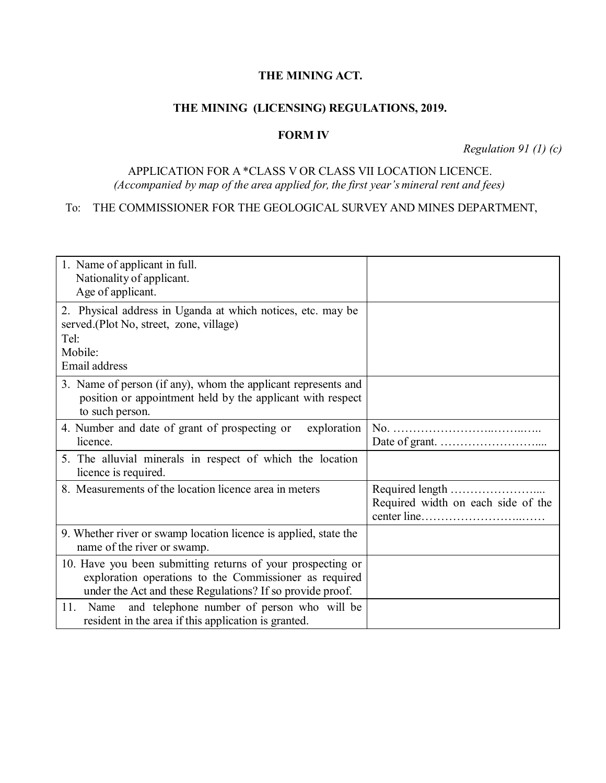### **THE MINING ACT.**

## **THE MINING (LICENSING) REGULATIONS, 2019.**

#### **FORM IV**

*Regulation 91 (1) (c)*

# APPLICATION FOR A \*CLASS V OR CLASS VII LOCATION LICENCE. *(Accompanied by map of the area applied for, the first year's mineral rent and fees)*

## To: THE COMMISSIONER FOR THE GEOLOGICAL SURVEY AND MINES DEPARTMENT,

| 1. Name of applicant in full.<br>Nationality of applicant.<br>Age of applicant.                                                                                                    |                                    |
|------------------------------------------------------------------------------------------------------------------------------------------------------------------------------------|------------------------------------|
| 2. Physical address in Uganda at which notices, etc. may be<br>served.(Plot No, street, zone, village)<br>Tel:<br>Mobile:<br>Email address                                         |                                    |
| 3. Name of person (if any), whom the applicant represents and<br>position or appointment held by the applicant with respect<br>to such person.                                     |                                    |
| 4. Number and date of grant of prospecting or exploration<br>licence.                                                                                                              |                                    |
| 5. The alluvial minerals in respect of which the location<br>licence is required.                                                                                                  |                                    |
| 8. Measurements of the location licence area in meters                                                                                                                             | Required width on each side of the |
| 9. Whether river or swamp location licence is applied, state the<br>name of the river or swamp.                                                                                    |                                    |
| 10. Have you been submitting returns of your prospecting or<br>exploration operations to the Commissioner as required<br>under the Act and these Regulations? If so provide proof. |                                    |
| and telephone number of person who will be<br>11.<br>Name<br>resident in the area if this application is granted.                                                                  |                                    |